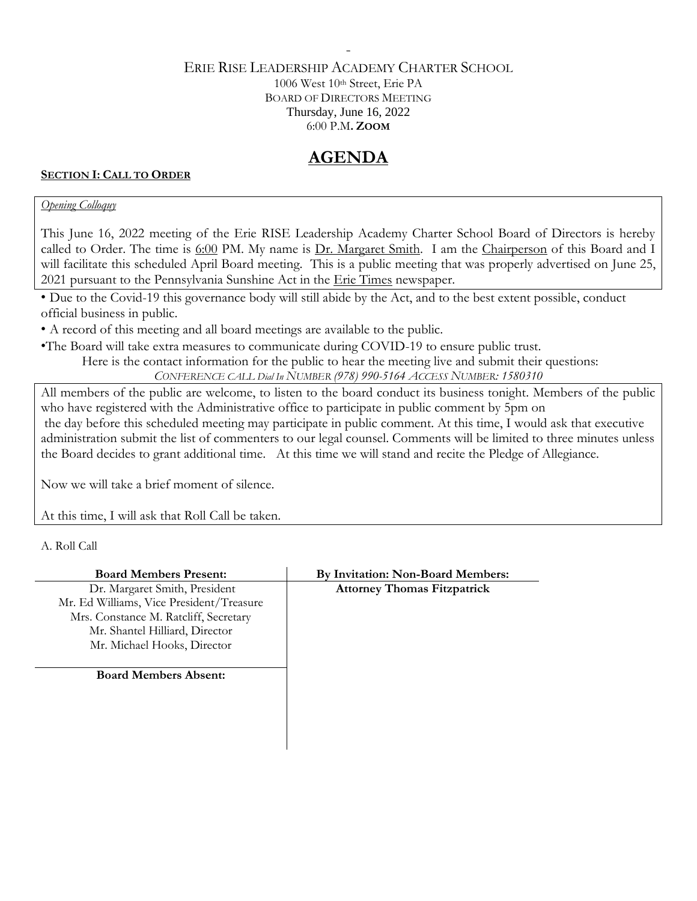## ERIE RISE LEADERSHIP ACADEMY CHARTER SCHOOL 1006 West 10th Street, Erie PA BOARD OF DIRECTORS MEETING Thursday, June 16, 2022 6:00 P.M**. ZOOM**

-

# **AGENDA**

### **SECTION I: CALL TO ORDER**

## *Opening Colloquy*

This June 16, 2022 meeting of the Erie RISE Leadership Academy Charter School Board of Directors is hereby called to Order. The time is 6:00 PM. My name is Dr. Margaret Smith. I am the Chairperson of this Board and I will facilitate this scheduled April Board meeting. This is a public meeting that was properly advertised on June 25, 2021 pursuant to the Pennsylvania Sunshine Act in the Erie Times newspaper.

• Due to the Covid-19 this governance body will still abide by the Act, and to the best extent possible, conduct official business in public.

• A record of this meeting and all board meetings are available to the public.

•The Board will take extra measures to communicate during COVID-19 to ensure public trust.

Here is the contact information for the public to hear the meeting live and submit their questions:

*CONFERENCE CALL Dial In NUMBER (978) 990-5164 ACCESS NUMBER: 1580310*

All members of the public are welcome, to listen to the board conduct its business tonight. Members of the public who have registered with the Administrative office to participate in public comment by 5pm on the day before this scheduled meeting may participate in public comment. At this time, I would ask that executive administration submit the list of commenters to our legal counsel. Comments will be limited to three minutes unless the Board decides to grant additional time. At this time we will stand and recite the Pledge of Allegiance.

Now we will take a brief moment of silence.

At this time, I will ask that Roll Call be taken.

A. Roll Call

| <b>Board Members Present:</b>            | By Invitation: Non-Board Members:  |
|------------------------------------------|------------------------------------|
| Dr. Margaret Smith, President            | <b>Attorney Thomas Fitzpatrick</b> |
| Mr. Ed Williams, Vice President/Treasure |                                    |
| Mrs. Constance M. Ratcliff, Secretary    |                                    |
| Mr. Shantel Hilliard, Director           |                                    |
| Mr. Michael Hooks, Director              |                                    |
|                                          |                                    |
| <b>Board Members Absent:</b>             |                                    |
|                                          |                                    |
|                                          |                                    |
|                                          |                                    |
|                                          |                                    |
|                                          |                                    |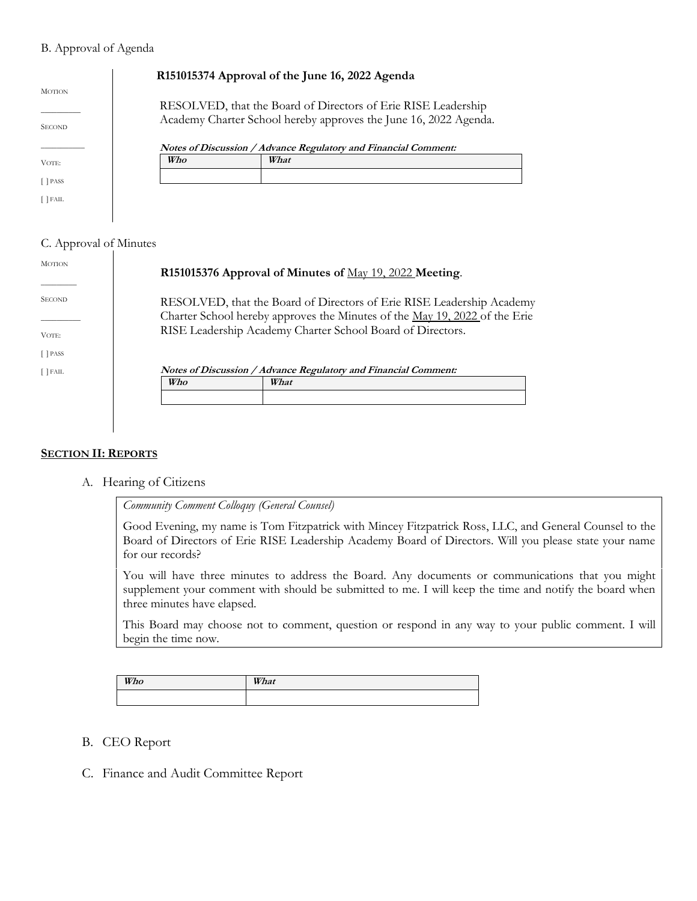#### B. Approval of Agenda

|                                |     | R151015374 Approval of the June 16, 2022 Agenda                                                                                   |
|--------------------------------|-----|-----------------------------------------------------------------------------------------------------------------------------------|
| <b>MOTION</b><br><b>SECOND</b> |     | RESOLVED, that the Board of Directors of Erie RISE Leadership<br>Academy Charter School hereby approves the June 16, 2022 Agenda. |
|                                |     | Notes of Discussion / Advance Regulatory and Financial Comment:                                                                   |
| VOTE:                          | Who | What                                                                                                                              |
| $\lceil$ PASS                  |     |                                                                                                                                   |
| [ ] FAIL                       |     |                                                                                                                                   |

#### C. Approval of Minutes

| <b>MOTION</b> |                                                                 | R151015376 Approval of Minutes of May 19, 2022 Meeting.                                                                                                                                                                  |
|---------------|-----------------------------------------------------------------|--------------------------------------------------------------------------------------------------------------------------------------------------------------------------------------------------------------------------|
| <b>SECOND</b> |                                                                 | RESOLVED, that the Board of Directors of Erie RISE Leadership Academy<br>Charter School hereby approves the Minutes of the <u>May 19, 2022</u> of the Erie<br>RISE Leadership Academy Charter School Board of Directors. |
| VOTE:         |                                                                 |                                                                                                                                                                                                                          |
| $[$ PASS      |                                                                 |                                                                                                                                                                                                                          |
| $[$ FAIL      | Notes of Discussion / Advance Regulatory and Financial Comment: |                                                                                                                                                                                                                          |
|               | Who                                                             | What                                                                                                                                                                                                                     |
|               |                                                                 |                                                                                                                                                                                                                          |
|               |                                                                 |                                                                                                                                                                                                                          |

#### **SECTION II: REPORTS**

A. Hearing of Citizens

*Community Comment Colloquy (General Counsel)*

Good Evening, my name is Tom Fitzpatrick with Mincey Fitzpatrick Ross, LLC, and General Counsel to the Board of Directors of Erie RISE Leadership Academy Board of Directors. Will you please state your name for our records?

You will have three minutes to address the Board. Any documents or communications that you might supplement your comment with should be submitted to me. I will keep the time and notify the board when three minutes have elapsed.

This Board may choose not to comment, question or respond in any way to your public comment. I will begin the time now.

| Who | What |
|-----|------|
|     |      |

- B. CEO Report
- C. Finance and Audit Committee Report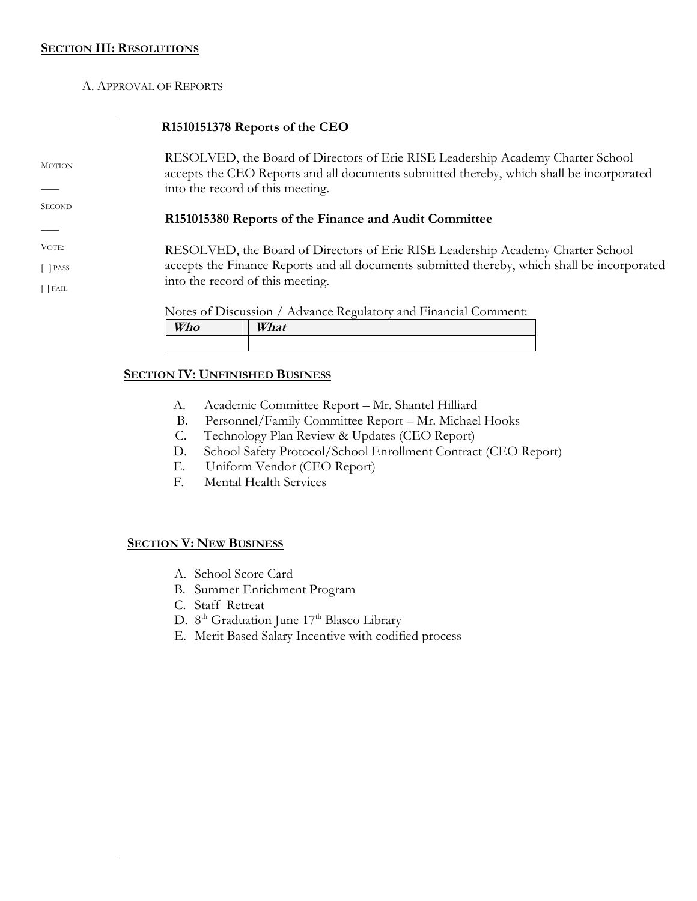**MOTION** 

 $\overline{\phantom{a}}$ **SECOND**  $\overline{\phantom{a}}$ VOTE: [ ] PASS [ ] FAIL

A. APPROVAL OF REPORTS

# **R1510151378 Reports of the CEO**

RESOLVED, the Board of Directors of Erie RISE Leadership Academy Charter School accepts the CEO Reports and all documents submitted thereby, which shall be incorporated into the record of this meeting.

# **R151015380 Reports of the Finance and Audit Committee**

RESOLVED, the Board of Directors of Erie RISE Leadership Academy Charter School accepts the Finance Reports and all documents submitted thereby, which shall be incorporated into the record of this meeting.

Notes of Discussion / Advance Regulatory and Financial Comment:

| $- - - - -$<br>. U | $- - - - -$<br>---- |
|--------------------|---------------------|
|                    |                     |

# **SECTION IV: UNFINISHED BUSINESS**

- A. Academic Committee Report Mr. Shantel Hilliard
- B. Personnel/Family Committee Report Mr. Michael Hooks
- C. Technology Plan Review & Updates (CEO Report)
- D. School Safety Protocol/School Enrollment Contract (CEO Report)
- E. Uniform Vendor (CEO Report)
- F. Mental Health Services

## **SECTION V: NEW BUSINESS**

- A. School Score Card
- B. Summer Enrichment Program
- C. Staff Retreat
- D. 8<sup>th</sup> Graduation June 17<sup>th</sup> Blasco Library
- E. Merit Based Salary Incentive with codified process